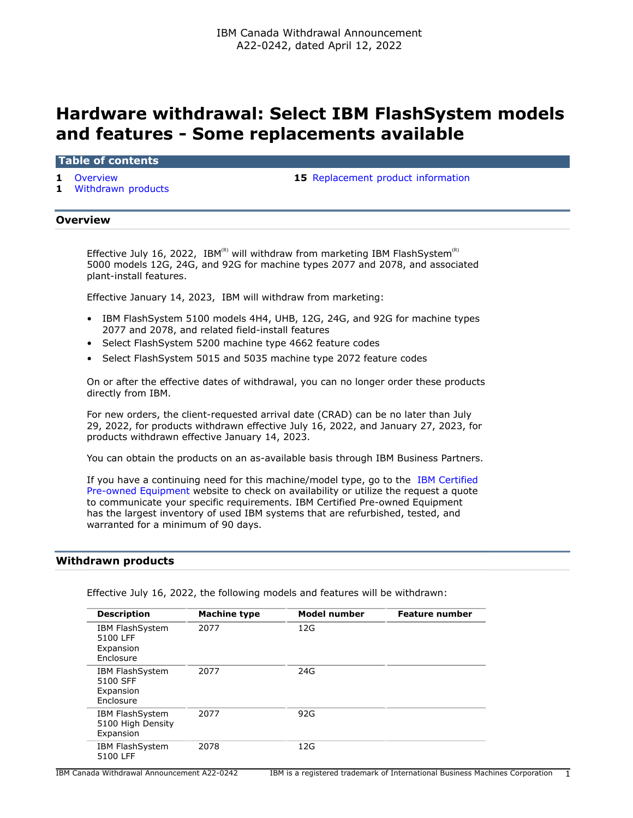# **Hardware withdrawal: Select IBM FlashSystem models and features - Some replacements available**

**Table of contents**

**1** [Withdrawn products](#page-0-1)

**1** [Overview](#page-0-0) **15** [Replacement product information](#page-14-0)

## <span id="page-0-0"></span>**Overview**

Effective July 16, 2022, IBM<sup>(R)</sup> will withdraw from marketing IBM FlashSystem<sup>(R)</sup> 5000 models 12G, 24G, and 92G for machine types 2077 and 2078, and associated plant-install features.

Effective January 14, 2023, IBM will withdraw from marketing:

- IBM FlashSystem 5100 models 4H4, UHB, 12G, 24G, and 92G for machine types 2077 and 2078, and related field-install features
- Select FlashSystem 5200 machine type 4662 feature codes
- Select FlashSystem 5015 and 5035 machine type 2072 feature codes

On or after the effective dates of withdrawal, you can no longer order these products directly from IBM.

For new orders, the client-requested arrival date (CRAD) can be no later than July 29, 2022, for products withdrawn effective July 16, 2022, and January 27, 2023, for products withdrawn effective January 14, 2023.

You can obtain the products on an as-available basis through IBM Business Partners.

If you have a continuing need for this machine/model type, go to the [IBM Certified](https://www.ibm.com/financing/pre-owned/ibm-certified-used-equipment) [Pre-owned Equipment](https://www.ibm.com/financing/pre-owned/ibm-certified-used-equipment) website to check on availability or utilize the request a quote to communicate your specific requirements. IBM Certified Pre-owned Equipment has the largest inventory of used IBM systems that are refurbished, tested, and warranted for a minimum of 90 days.

## <span id="page-0-1"></span>**Withdrawn products**

| <b>Description</b>                                           | <b>Machine type</b> | Model number | <b>Feature number</b> |
|--------------------------------------------------------------|---------------------|--------------|-----------------------|
| <b>IBM FlashSystem</b><br>5100 LFF<br>Expansion<br>Enclosure | 2077                | 12G          |                       |
| <b>IBM FlashSystem</b><br>5100 SFF<br>Expansion<br>Enclosure | 2077                | 24G          |                       |
| <b>IBM FlashSystem</b><br>5100 High Density<br>Expansion     | 2077                | 92G          |                       |
| <b>IBM FlashSystem</b><br>5100 LFF                           | 2078                | 12G          |                       |

Effective July 16, 2022, the following models and features will be withdrawn:

IBM Canada Withdrawal Announcement A22-0242 IBM is a registered trademark of International Business Machines Corporation 1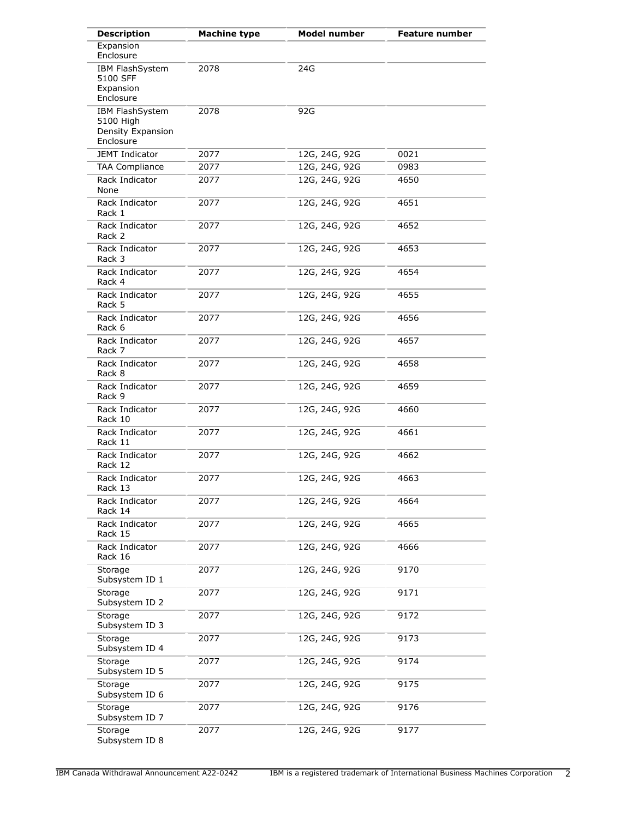| <b>Description</b>                                             | <b>Machine type</b> | <b>Model number</b> | <b>Feature number</b> |
|----------------------------------------------------------------|---------------------|---------------------|-----------------------|
| Expansion<br>Enclosure                                         |                     |                     |                       |
| <b>IBM FlashSystem</b><br>5100 SFF<br>Expansion<br>Enclosure   | 2078                | 24G                 |                       |
| IBM FlashSystem<br>5100 High<br>Density Expansion<br>Enclosure | 2078                | 92G                 |                       |
| <b>JEMT Indicator</b>                                          | 2077                | 12G, 24G, 92G       | 0021                  |
| <b>TAA Compliance</b>                                          | 2077                | 12G, 24G, 92G       | 0983                  |
| Rack Indicator<br>None                                         | 2077                | 12G, 24G, 92G       | 4650                  |
| Rack Indicator<br>Rack 1                                       | 2077                | 12G, 24G, 92G       | 4651                  |
| Rack Indicator<br>Rack 2                                       | 2077                | 12G, 24G, 92G       | 4652                  |
| Rack Indicator<br>Rack 3                                       | 2077                | 12G, 24G, 92G       | 4653                  |
| Rack Indicator<br>Rack 4                                       | 2077                | 12G, 24G, 92G       | 4654                  |
| Rack Indicator<br>Rack 5                                       | 2077                | 12G, 24G, 92G       | 4655                  |
| Rack Indicator<br>Rack 6                                       | 2077                | 12G, 24G, 92G       | 4656                  |
| Rack Indicator<br>Rack 7                                       | 2077                | 12G, 24G, 92G       | 4657                  |
| Rack Indicator<br>Rack 8                                       | 2077                | 12G, 24G, 92G       | 4658                  |
| Rack Indicator<br>Rack 9                                       | 2077                | 12G, 24G, 92G       | 4659                  |
| Rack Indicator<br>Rack 10                                      | 2077                | 12G, 24G, 92G       | 4660                  |
| Rack Indicator<br>Rack 11                                      | 2077                | 12G, 24G, 92G       | 4661                  |
| Rack Indicator<br>Rack 12                                      | 2077                | 12G, 24G, 92G       | 4662                  |
| Rack Indicator<br>Rack 13                                      | 2077                | 12G, 24G, 92G       | 4663                  |
| Rack Indicator<br>Rack 14                                      | 2077                | 12G, 24G, 92G       | 4664                  |
| Rack Indicator<br>Rack 15                                      | 2077                | 12G, 24G, 92G       | 4665                  |
| Rack Indicator<br>Rack 16                                      | 2077                | 12G, 24G, 92G       | 4666                  |
| Storage<br>Subsystem ID 1                                      | 2077                | 12G, 24G, 92G       | 9170                  |
| Storage<br>Subsystem ID 2                                      | 2077                | 12G, 24G, 92G       | 9171                  |
| Storage<br>Subsystem ID 3                                      | 2077                | 12G, 24G, 92G       | 9172                  |
| Storage<br>Subsystem ID 4                                      | 2077                | 12G, 24G, 92G       | 9173                  |
| Storage<br>Subsystem ID 5                                      | 2077                | 12G, 24G, 92G       | 9174                  |
| Storage<br>Subsystem ID 6                                      | 2077                | 12G, 24G, 92G       | 9175                  |
| Storage<br>Subsystem ID 7                                      | 2077                | 12G, 24G, 92G       | 9176                  |
| Storage<br>Subsystem ID 8                                      | 2077                | 12G, 24G, 92G       | 9177                  |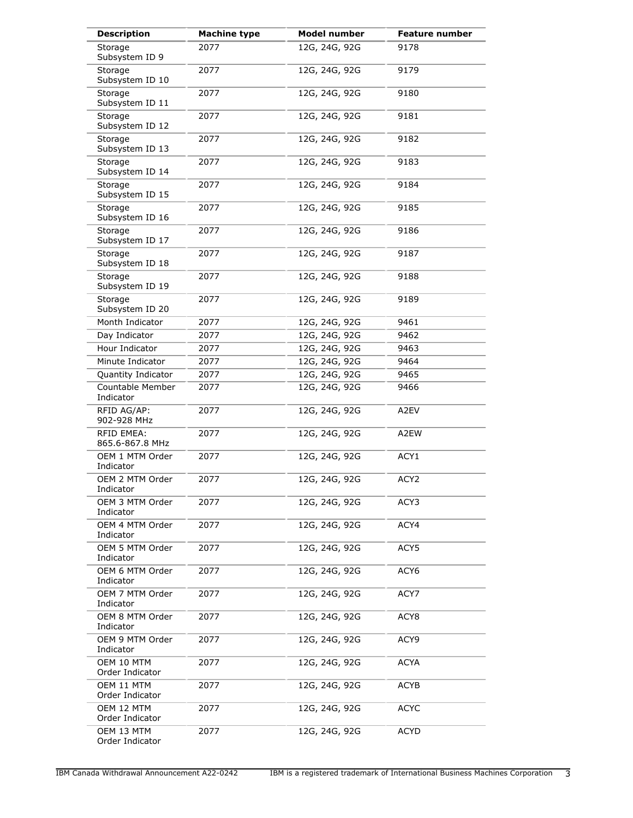| <b>Description</b>                   | <b>Machine type</b> | <b>Model number</b> | <b>Feature number</b> |
|--------------------------------------|---------------------|---------------------|-----------------------|
| Storage<br>Subsystem ID 9            | 2077                | 12G, 24G, 92G       | 9178                  |
| Storage<br>Subsystem ID 10           | 2077                | 12G, 24G, 92G       | 9179                  |
| Storage<br>Subsystem ID 11           | 2077                | 12G, 24G, 92G       | 9180                  |
| Storage<br>Subsystem ID 12           | 2077                | 12G, 24G, 92G       | 9181                  |
| Storage<br>Subsystem ID 13           | 2077                | 12G, 24G, 92G       | 9182                  |
| Storage<br>Subsystem ID 14           | 2077                | 12G, 24G, 92G       | 9183                  |
| Storage<br>Subsystem ID 15           | 2077                | 12G, 24G, 92G       | 9184                  |
| Storage<br>Subsystem ID 16           | 2077                | 12G, 24G, 92G       | 9185                  |
| Storage<br>Subsystem ID 17           | 2077                | 12G, 24G, 92G       | 9186                  |
| Storage<br>Subsystem ID 18           | 2077                | 12G, 24G, 92G       | 9187                  |
| Storage<br>Subsystem ID 19           | 2077                | 12G, 24G, 92G       | 9188                  |
| Storage<br>Subsystem ID 20           | 2077                | 12G, 24G, 92G       | 9189                  |
| Month Indicator                      | 2077                | 12G, 24G, 92G       | 9461                  |
| Day Indicator                        | 2077                | 12G, 24G, 92G       | 9462                  |
| Hour Indicator                       | 2077                | 12G, 24G, 92G       | 9463                  |
| Minute Indicator                     | 2077                | 12G, 24G, 92G       | 9464                  |
| Quantity Indicator                   | 2077                | 12G, 24G, 92G       | 9465                  |
| Countable Member<br>Indicator        | 2077                | 12G, 24G, 92G       | 9466                  |
| RFID AG/AP:<br>902-928 MHz           | 2077                | 12G, 24G, 92G       | A2EV                  |
| <b>RFID EMEA:</b><br>865.6-867.8 MHz | 2077                | 12G, 24G, 92G       | A2EW                  |
| OEM 1 MTM Order<br>Indicator         | 2077                | 12G, 24G, 92G       | ACY1                  |
| OEM 2 MTM Order<br>Indicator         | 2077                | 12G, 24G, 92G       | ACY2                  |
| OEM 3 MTM Order<br>Indicator         | 2077                | 12G, 24G, 92G       | ACY3                  |
| OEM 4 MTM Order<br>Indicator         | 2077                | 12G, 24G, 92G       | ACY4                  |
| OEM 5 MTM Order<br>Indicator         | 2077                | 12G, 24G, 92G       | ACY5                  |
| OEM 6 MTM Order<br>Indicator         | 2077                | 12G, 24G, 92G       | ACY <sub>6</sub>      |
| OEM 7 MTM Order<br>Indicator         | 2077                | 12G, 24G, 92G       | ACY7                  |
| OEM 8 MTM Order<br>Indicator         | 2077                | 12G, 24G, 92G       | ACY <sub>8</sub>      |
| OEM 9 MTM Order<br>Indicator         | 2077                | 12G, 24G, 92G       | ACY9                  |
| OEM 10 MTM<br>Order Indicator        | 2077                | 12G, 24G, 92G       | <b>ACYA</b>           |
| OEM 11 MTM<br>Order Indicator        | 2077                | 12G, 24G, 92G       | <b>ACYB</b>           |
| OEM 12 MTM<br>Order Indicator        | 2077                | 12G, 24G, 92G       | <b>ACYC</b>           |
| OEM 13 MTM<br>Order Indicator        | 2077                | 12G, 24G, 92G       | <b>ACYD</b>           |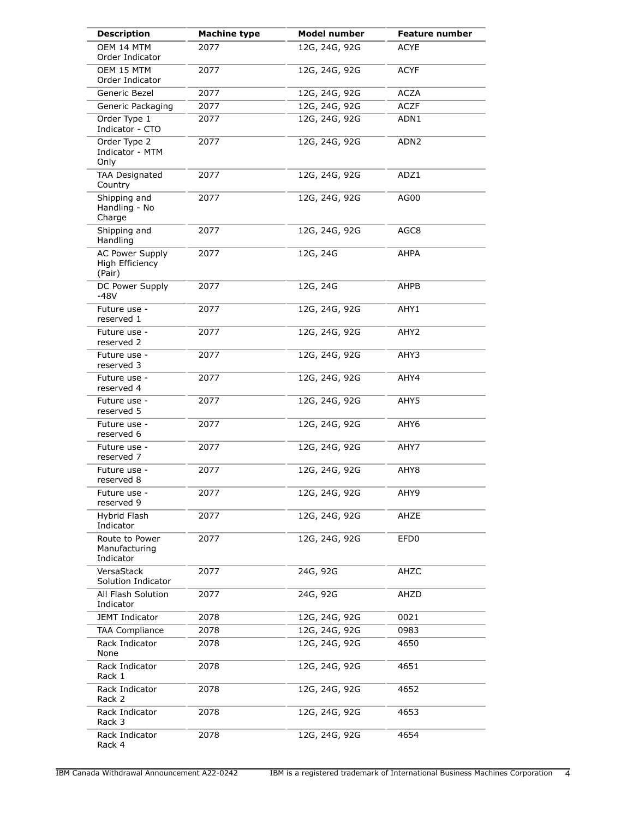| <b>Description</b>                                  | <b>Machine type</b> | <b>Model number</b> | Feature number   |
|-----------------------------------------------------|---------------------|---------------------|------------------|
| OEM 14 MTM<br>Order Indicator                       | 2077                | 12G, 24G, 92G       | <b>ACYE</b>      |
| OEM 15 MTM<br>Order Indicator                       | 2077                | 12G, 24G, 92G       | ACYF             |
| Generic Bezel                                       | 2077                | 12G, 24G, 92G       | <b>ACZA</b>      |
| Generic Packaging                                   | 2077                | 12G, 24G, 92G       | <b>ACZF</b>      |
| Order Type 1<br>Indicator - CTO                     | 2077                | 12G, 24G, 92G       | ADN1             |
| Order Type 2<br>Indicator - MTM<br>Only             | 2077                | 12G, 24G, 92G       | ADN <sub>2</sub> |
| <b>TAA Designated</b><br>Country                    | 2077                | 12G, 24G, 92G       | ADZ1             |
| Shipping and<br>Handling - No<br>Charge             | 2077                | 12G, 24G, 92G       | AG00             |
| Shipping and<br>Handling                            | 2077                | 12G, 24G, 92G       | AGC8             |
| <b>AC Power Supply</b><br>High Efficiency<br>(Pair) | 2077                | 12G, 24G            | AHPA             |
| DC Power Supply<br>$-48V$                           | 2077                | 12G, 24G            | AHPB             |
| Future use -<br>reserved 1                          | 2077                | 12G, 24G, 92G       | AHY1             |
| Future use -<br>reserved 2                          | 2077                | 12G, 24G, 92G       | AHY <sub>2</sub> |
| Future use -<br>reserved 3                          | 2077                | 12G, 24G, 92G       | AHY3             |
| Future use -<br>reserved 4                          | 2077                | 12G, 24G, 92G       | AHY4             |
| Future use -<br>reserved 5                          | 2077                | 12G, 24G, 92G       | AHY5             |
| Future use -<br>reserved 6                          | 2077                | 12G, 24G, 92G       | AHY6             |
| Future use -<br>reserved 7                          | 2077                | 12G, 24G, 92G       | AHY7             |
| Future use -<br>reserved 8                          | 2077                | 12G, 24G, 92G       | AHY8             |
| Future use -<br>reserved 9                          | 2077                | 12G, 24G, 92G       | AHY9             |
| Hybrid Flash<br>Indicator                           | 2077                | 12G, 24G, 92G       | AHZE             |
| Route to Power<br>Manufacturing<br>Indicator        | 2077                | 12G, 24G, 92G       | EFD <sub>0</sub> |
| VersaStack<br>Solution Indicator                    | 2077                | 24G, 92G            | AHZC             |
| All Flash Solution<br>Indicator                     | 2077                | 24G, 92G            | AHZD             |
| <b>JEMT Indicator</b>                               | 2078                | 12G, 24G, 92G       | 0021             |
| <b>TAA Compliance</b>                               | 2078                | 12G, 24G, 92G       | 0983             |
| Rack Indicator<br>None                              | 2078                | 12G, 24G, 92G       | 4650             |
| Rack Indicator<br>Rack 1                            | 2078                | 12G, 24G, 92G       | 4651             |
| Rack Indicator<br>Rack 2                            | 2078                | 12G, 24G, 92G       | 4652             |
| Rack Indicator<br>Rack 3                            | 2078                | 12G, 24G, 92G       | 4653             |
| Rack Indicator<br>Rack 4                            | 2078                | 12G, 24G, 92G       | 4654             |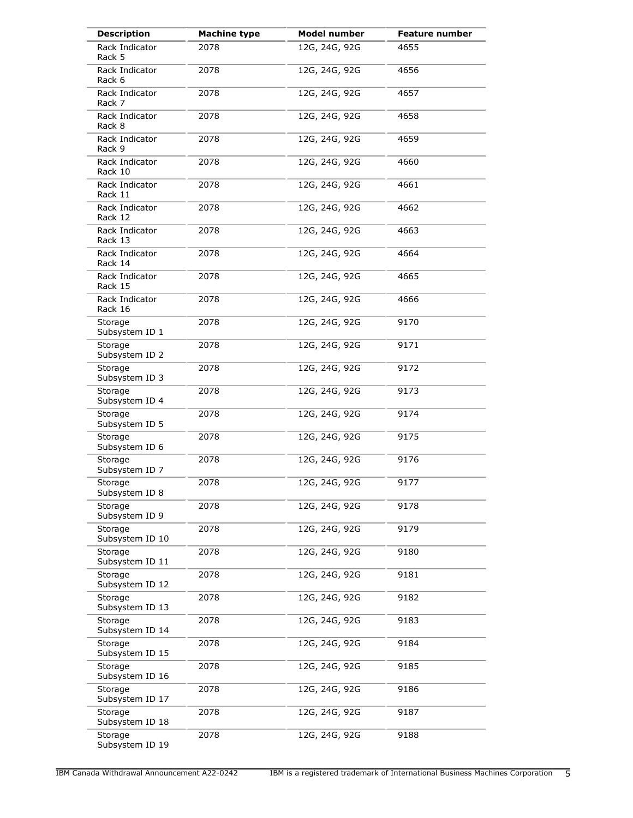| <b>Description</b>         | <b>Machine type</b> | <b>Model number</b> | Feature number |
|----------------------------|---------------------|---------------------|----------------|
| Rack Indicator<br>Rack 5   | 2078                | 12G, 24G, 92G       | 4655           |
| Rack Indicator<br>Rack 6   | 2078                | 12G, 24G, 92G       | 4656           |
| Rack Indicator<br>Rack 7   | 2078                | 12G, 24G, 92G       | 4657           |
| Rack Indicator<br>Rack 8   | 2078                | 12G, 24G, 92G       | 4658           |
| Rack Indicator<br>Rack 9   | 2078                | 12G, 24G, 92G       | 4659           |
| Rack Indicator<br>Rack 10  | 2078                | 12G, 24G, 92G       | 4660           |
| Rack Indicator<br>Rack 11  | 2078                | 12G, 24G, 92G       | 4661           |
| Rack Indicator<br>Rack 12  | 2078                | 12G, 24G, 92G       | 4662           |
| Rack Indicator<br>Rack 13  | 2078                | 12G, 24G, 92G       | 4663           |
| Rack Indicator<br>Rack 14  | 2078                | 12G, 24G, 92G       | 4664           |
| Rack Indicator<br>Rack 15  | 2078                | 12G, 24G, 92G       | 4665           |
| Rack Indicator<br>Rack 16  | 2078                | 12G, 24G, 92G       | 4666           |
| Storage<br>Subsystem ID 1  | 2078                | 12G, 24G, 92G       | 9170           |
| Storage<br>Subsystem ID 2  | 2078                | 12G, 24G, 92G       | 9171           |
| Storage<br>Subsystem ID 3  | 2078                | 12G, 24G, 92G       | 9172           |
| Storage<br>Subsystem ID 4  | 2078                | 12G, 24G, 92G       | 9173           |
| Storage<br>Subsystem ID 5  | 2078                | 12G, 24G, 92G       | 9174           |
| Storage<br>Subsystem ID 6  | 2078                | 12G, 24G, 92G       | 9175           |
| Storage<br>Subsystem ID 7  | 2078                | 12G, 24G, 92G       | 9176           |
| Storage<br>Subsystem ID 8  | 2078                | 12G, 24G, 92G       | 9177           |
| Storage<br>Subsystem ID 9  | 2078                | 12G, 24G, 92G       | 9178           |
| Storage<br>Subsystem ID 10 | 2078                | 12G, 24G, 92G       | 9179           |
| Storage<br>Subsystem ID 11 | 2078                | 12G, 24G, 92G       | 9180           |
| Storage<br>Subsystem ID 12 | 2078                | 12G, 24G, 92G       | 9181           |
| Storage<br>Subsystem ID 13 | 2078                | 12G, 24G, 92G       | 9182           |
| Storage<br>Subsystem ID 14 | 2078                | 12G, 24G, 92G       | 9183           |
| Storage<br>Subsystem ID 15 | 2078                | 12G, 24G, 92G       | 9184           |
| Storage<br>Subsystem ID 16 | 2078                | 12G, 24G, 92G       | 9185           |
| Storage<br>Subsystem ID 17 | 2078                | 12G, 24G, 92G       | 9186           |
| Storage<br>Subsystem ID 18 | 2078                | 12G, 24G, 92G       | 9187           |
| Storage<br>Subsystem ID 19 | 2078                | 12G, 24G, 92G       | 9188           |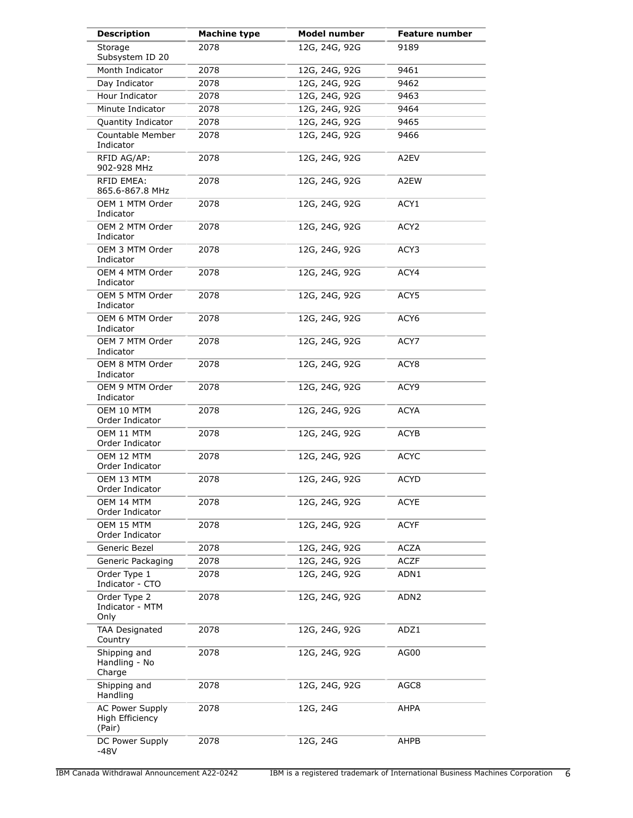| <b>Description</b>                                  | <b>Machine type</b> | <b>Model number</b> | <b>Feature number</b> |
|-----------------------------------------------------|---------------------|---------------------|-----------------------|
| Storage<br>Subsystem ID 20                          | 2078                | 12G, 24G, 92G       | 9189                  |
| Month Indicator                                     | 2078                | 12G, 24G, 92G       | 9461                  |
| Day Indicator                                       | 2078                | 12G, 24G, 92G       | 9462                  |
| Hour Indicator                                      | 2078                | 12G, 24G, 92G       | 9463                  |
| Minute Indicator                                    | 2078                | 12G, 24G, 92G       | 9464                  |
| Quantity Indicator                                  | 2078                | 12G, 24G, 92G       | 9465                  |
| Countable Member<br>Indicator                       | 2078                | 12G, 24G, 92G       | 9466                  |
| RFID AG/AP:<br>902-928 MHz                          | 2078                | 12G, 24G, 92G       | A2EV                  |
| <b>RFID EMEA:</b><br>865.6-867.8 MHz                | 2078                | 12G, 24G, 92G       | A2EW                  |
| OEM 1 MTM Order<br>Indicator                        | 2078                | 12G, 24G, 92G       | ACY1                  |
| OEM 2 MTM Order<br>Indicator                        | 2078                | 12G, 24G, 92G       | ACY <sub>2</sub>      |
| OEM 3 MTM Order<br>Indicator                        | 2078                | 12G, 24G, 92G       | ACY3                  |
| OEM 4 MTM Order<br>Indicator                        | 2078                | 12G, 24G, 92G       | ACY4                  |
| OEM 5 MTM Order<br>Indicator                        | 2078                | 12G, 24G, 92G       | ACY5                  |
| OEM 6 MTM Order<br>Indicator                        | 2078                | 12G, 24G, 92G       | ACY6                  |
| OEM 7 MTM Order<br>Indicator                        | 2078                | 12G, 24G, 92G       | ACY7                  |
| OEM 8 MTM Order<br>Indicator                        | 2078                | 12G, 24G, 92G       | ACY8                  |
| OEM 9 MTM Order<br>Indicator                        | 2078                | 12G, 24G, 92G       | ACY9                  |
| OEM 10 MTM<br>Order Indicator                       | 2078                | 12G, 24G, 92G       | <b>ACYA</b>           |
| OEM 11 MTM<br>Order Indicator                       | 2078                | 12G, 24G, 92G       | ACYB                  |
| OEM 12 MTM<br>Order Indicator                       | 2078                | 12G, 24G, 92G       | <b>ACYC</b>           |
| OEM 13 MTM<br>Order Indicator                       | 2078                | 12G, 24G, 92G       | <b>ACYD</b>           |
| OEM 14 MTM<br>Order Indicator                       | 2078                | 12G, 24G, 92G       | <b>ACYE</b>           |
| OEM 15 MTM<br>Order Indicator                       | 2078                | 12G, 24G, 92G       | <b>ACYF</b>           |
| Generic Bezel                                       | 2078                | 12G, 24G, 92G       | <b>ACZA</b>           |
| Generic Packaging                                   | 2078                | 12G, 24G, 92G       | <b>ACZF</b>           |
| Order Type 1<br>Indicator - CTO                     | 2078                | 12G, 24G, 92G       | ADN1                  |
| Order Type 2<br>Indicator - MTM<br>Only             | 2078                | 12G, 24G, 92G       | ADN <sub>2</sub>      |
| <b>TAA Designated</b><br>Country                    | 2078                | 12G, 24G, 92G       | ADZ1                  |
| Shipping and<br>Handling - No<br>Charge             | 2078                | 12G, 24G, 92G       | AG00                  |
| Shipping and<br>Handling                            | 2078                | 12G, 24G, 92G       | AGC8                  |
| <b>AC Power Supply</b><br>High Efficiency<br>(Pair) | 2078                | 12G, 24G            | AHPA                  |
| DC Power Supply<br>$-48V$                           | 2078                | 12G, 24G            | AHPB                  |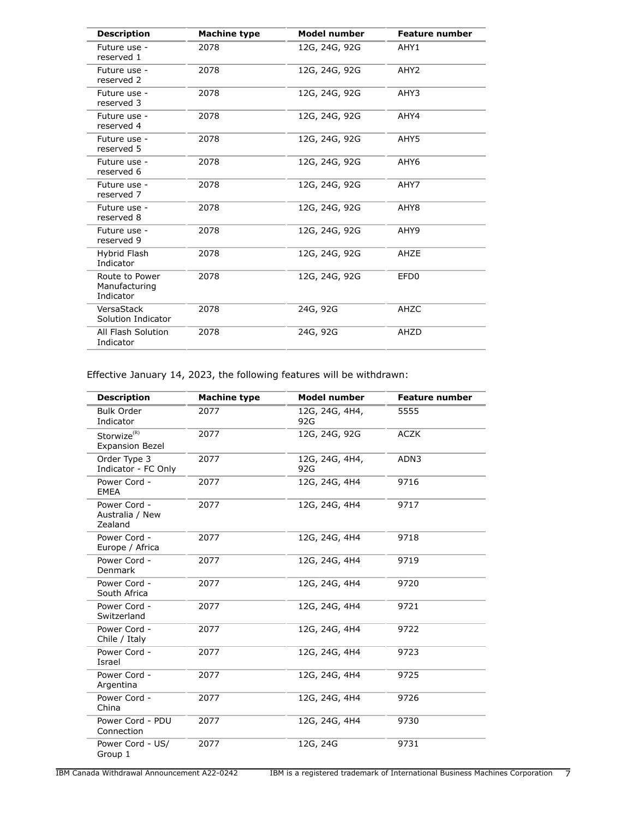| <b>Description</b>                           | <b>Machine type</b> | <b>Model number</b> | <b>Feature number</b> |
|----------------------------------------------|---------------------|---------------------|-----------------------|
| Future use -<br>reserved 1                   | 2078                | 12G, 24G, 92G       | AHY1                  |
| Future use -<br>reserved 2                   | 2078                | 12G, 24G, 92G       | AHY <sub>2</sub>      |
| Future use -<br>reserved 3                   | 2078                | 12G, 24G, 92G       | AHY3                  |
| Future use -<br>reserved 4                   | 2078                | 12G, 24G, 92G       | AHY4                  |
| Future use -<br>reserved 5                   | 2078                | 12G, 24G, 92G       | AHY5                  |
| Future use -<br>reserved 6                   | 2078                | 12G, 24G, 92G       | AHY <sub>6</sub>      |
| Future use -<br>reserved 7                   | 2078                | 12G, 24G, 92G       | AHY7                  |
| Future use -<br>reserved 8                   | 2078                | 12G, 24G, 92G       | AHY8                  |
| Future use -<br>reserved 9                   | 2078                | 12G, 24G, 92G       | AHY9                  |
| Hybrid Flash<br>Indicator                    | 2078                | 12G, 24G, 92G       | AHZE                  |
| Route to Power<br>Manufacturing<br>Indicator | 2078                | 12G, 24G, 92G       | EFD <sub>0</sub>      |
| VersaStack<br>Solution Indicator             | 2078                | 24G, 92G            | AHZC                  |
| All Flash Solution<br>Indicator              | 2078                | 24G, 92G            | AHZD                  |

Effective January 14, 2023, the following features will be withdrawn:

| <b>Description</b>                                | <b>Machine type</b> | <b>Model number</b>   | <b>Feature number</b> |
|---------------------------------------------------|---------------------|-----------------------|-----------------------|
| <b>Bulk Order</b><br>Indicator                    | 2077                | 12G, 24G, 4H4,<br>92G | 5555                  |
| Storwize <sup>(R)</sup><br><b>Expansion Bezel</b> | 2077                | 12G, 24G, 92G         | <b>ACZK</b>           |
| Order Type 3<br>Indicator - FC Only               | 2077                | 12G, 24G, 4H4,<br>92G | ADN3                  |
| Power Cord -<br><b>EMEA</b>                       | 2077                | 12G, 24G, 4H4         | 9716                  |
| Power Cord -<br>Australia / New<br>Zealand        | 2077                | 12G, 24G, 4H4         | 9717                  |
| Power Cord -<br>Europe / Africa                   | 2077                | 12G, 24G, 4H4         | 9718                  |
| Power Cord -<br>Denmark                           | 2077                | 12G, 24G, 4H4         | 9719                  |
| Power Cord -<br>South Africa                      | 2077                | 12G, 24G, 4H4         | 9720                  |
| Power Cord -<br>Switzerland                       | 2077                | 12G, 24G, 4H4         | 9721                  |
| Power Cord -<br>Chile / Italy                     | 2077                | 12G, 24G, 4H4         | 9722                  |
| Power Cord -<br>Israel                            | 2077                | 12G, 24G, 4H4         | 9723                  |
| Power Cord -<br>Argentina                         | 2077                | 12G, 24G, 4H4         | 9725                  |
| Power Cord -<br>China                             | 2077                | 12G, 24G, 4H4         | 9726                  |
| Power Cord - PDU<br>Connection                    | 2077                | 12G, 24G, 4H4         | 9730                  |
| Power Cord - US/<br>Group 1                       | 2077                | 12G, 24G              | 9731                  |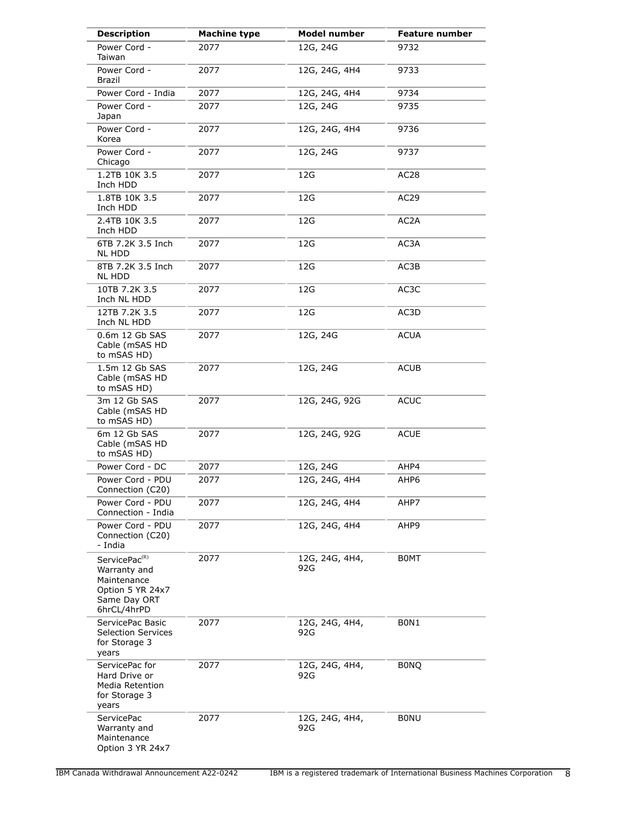| <b>Description</b>                                                                                          | <b>Machine type</b> | <b>Model number</b>   | <b>Feature number</b> |
|-------------------------------------------------------------------------------------------------------------|---------------------|-----------------------|-----------------------|
| Power Cord -<br>Taiwan                                                                                      | 2077                | 12G, 24G              | 9732                  |
| Power Cord -<br><b>Brazil</b>                                                                               | 2077                | 12G, 24G, 4H4         | 9733                  |
| Power Cord - India                                                                                          | 2077                | 12G, 24G, 4H4         | 9734                  |
| Power Cord -<br>Japan                                                                                       | 2077                | 12G, 24G              | 9735                  |
| Power Cord -<br>Korea                                                                                       | 2077                | 12G, 24G, 4H4         | 9736                  |
| Power Cord -<br>Chicago                                                                                     | 2077                | 12G, 24G              | 9737                  |
| 1.2TB 10K 3.5<br>Inch HDD                                                                                   | 2077                | 12G                   | AC <sub>28</sub>      |
| 1.8TB 10K 3.5<br>Inch HDD                                                                                   | 2077                | 12G                   | AC <sub>29</sub>      |
| 2.4TB 10K 3.5<br>Inch HDD                                                                                   | 2077                | 12G                   | AC <sub>2</sub> A     |
| 6TB 7.2K 3.5 Inch<br><b>NL HDD</b>                                                                          | 2077                | 12G                   | AC3A                  |
| 8TB 7.2K 3.5 Inch<br>NL HDD                                                                                 | 2077                | 12G                   | AC3B                  |
| 10TB 7.2K 3.5<br>Inch NL HDD                                                                                | 2077                | 12G                   | AC3C                  |
| 12TB 7.2K 3.5<br>Inch NL HDD                                                                                | 2077                | 12G                   | AC3D                  |
| 0.6m 12 Gb SAS<br>Cable (mSAS HD<br>to mSAS HD)                                                             | 2077                | 12G, 24G              | <b>ACUA</b>           |
| 1.5m 12 Gb SAS<br>Cable (mSAS HD<br>to mSAS HD)                                                             | 2077                | 12G, 24G              | <b>ACUB</b>           |
| 3m 12 Gb SAS<br>Cable (mSAS HD<br>to mSAS HD)                                                               | 2077                | 12G, 24G, 92G         | <b>ACUC</b>           |
| 6m 12 Gb SAS<br>Cable (mSAS HD<br>to mSAS HD)                                                               | 2077                | 12G, 24G, 92G         | <b>ACUE</b>           |
| Power Cord - DC                                                                                             | 2077                | 12G, 24G              | AHP4                  |
| Power Cord - PDU<br>Connection (C20)                                                                        | 2077                | 12G, 24G, 4H4         | AHP6                  |
| Power Cord - PDU<br>Connection - India                                                                      | 2077                | 12G, 24G, 4H4         | AHP7                  |
| Power Cord - PDU<br>Connection (C20)<br>- India                                                             | 2077                | 12G, 24G, 4H4         | AHP9                  |
| ServicePac <sup>(R)</sup><br>Warranty and<br>Maintenance<br>Option 5 YR 24x7<br>Same Day ORT<br>6hrCL/4hrPD | 2077                | 12G, 24G, 4H4,<br>92G | <b>BOMT</b>           |
| ServicePac Basic<br><b>Selection Services</b><br>for Storage 3<br>years                                     | 2077                | 12G, 24G, 4H4,<br>92G | BON1                  |
| ServicePac for<br>Hard Drive or<br>Media Retention<br>for Storage 3<br>years                                | 2077                | 12G, 24G, 4H4,<br>92G | <b>BONQ</b>           |
| <b>ServicePac</b><br>Warranty and<br>Maintenance<br>Option 3 YR 24x7                                        | 2077                | 12G, 24G, 4H4,<br>92G | <b>BONU</b>           |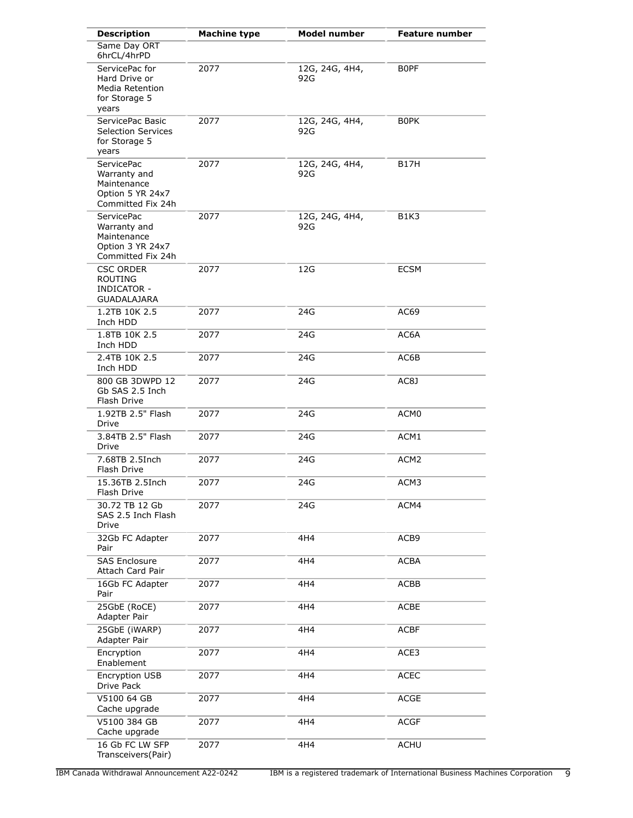| <b>Description</b>                                                                        | <b>Machine type</b> | <b>Model number</b>   | <b>Feature number</b> |
|-------------------------------------------------------------------------------------------|---------------------|-----------------------|-----------------------|
| Same Day ORT<br>6hrCL/4hrPD                                                               |                     |                       |                       |
| ServicePac for<br>Hard Drive or<br>Media Retention<br>for Storage 5<br>years              | 2077                | 12G, 24G, 4H4,<br>92G | B0PF                  |
| ServicePac Basic<br><b>Selection Services</b><br>for Storage 5<br>years                   | 2077                | 12G, 24G, 4H4,<br>92G | <b>BOPK</b>           |
| <b>ServicePac</b><br>Warranty and<br>Maintenance<br>Option 5 YR 24x7<br>Committed Fix 24h | 2077                | 12G, 24G, 4H4,<br>92G | B17H                  |
| <b>ServicePac</b><br>Warranty and<br>Maintenance<br>Option 3 YR 24x7<br>Committed Fix 24h | 2077                | 12G, 24G, 4H4,<br>92G | B1K3                  |
| <b>CSC ORDER</b><br><b>ROUTING</b><br><b>INDICATOR -</b><br><b>GUADALAJARA</b>            | 2077                | 12G                   | <b>ECSM</b>           |
| 1.2TB 10K 2.5<br>Inch HDD                                                                 | 2077                | 24G                   | AC69                  |
| 1.8TB 10K 2.5<br>Inch HDD                                                                 | 2077                | 24G                   | AC6A                  |
| 2.4TB 10K 2.5<br>Inch HDD                                                                 | 2077                | 24G                   | AC6B                  |
| 800 GB 3DWPD 12<br>Gb SAS 2.5 Inch<br>Flash Drive                                         | 2077                | 24G                   | AC8J                  |
| 1.92TB 2.5" Flash<br>Drive                                                                | 2077                | 24G                   | ACM0                  |
| 3.84TB 2.5" Flash<br>Drive                                                                | 2077                | 24G                   | ACM1                  |
| 7.68TB 2.5Inch<br>Flash Drive                                                             | 2077                | 24G                   | ACM <sub>2</sub>      |
| 15.36TB 2.5Inch<br>Hash Drive                                                             | 2077                | 24G                   | ACM3                  |
| 30.72 TB 12 Gb<br>SAS 2.5 Inch Flash<br>Drive                                             | 2077                | 24G                   | ACM4                  |
| 32Gb FC Adapter<br>Pair                                                                   | 2077                | 4H4                   | ACB9                  |
| <b>SAS Enclosure</b><br>Attach Card Pair                                                  | 2077                | 4H4                   | ACBA                  |
| 16Gb FC Adapter<br>Pair                                                                   | 2077                | 4H4                   | ACBB                  |
| 25GbE (RoCE)<br>Adapter Pair                                                              | 2077                | 4H4                   | <b>ACBE</b>           |
| 25GbE (iWARP)<br>Adapter Pair                                                             | 2077                | 4H4                   | <b>ACBF</b>           |
| Encryption<br>Enablement                                                                  | 2077                | 4H4                   | ACE3                  |
| Encryption USB<br>Drive Pack                                                              | 2077                | 4H4                   | <b>ACEC</b>           |
| V5100 64 GB<br>Cache upgrade                                                              | 2077                | 4H4                   | <b>ACGE</b>           |
| V5100 384 GB<br>Cache upgrade                                                             | 2077                | 4H4                   | <b>ACGF</b>           |
| 16 Gb FC LW SFP<br>Transceivers(Pair)                                                     | 2077                | 4H4                   | <b>ACHU</b>           |

IBM Canada Withdrawal Announcement A22-0242 IBM is a registered trademark of International Business Machines Corporation 9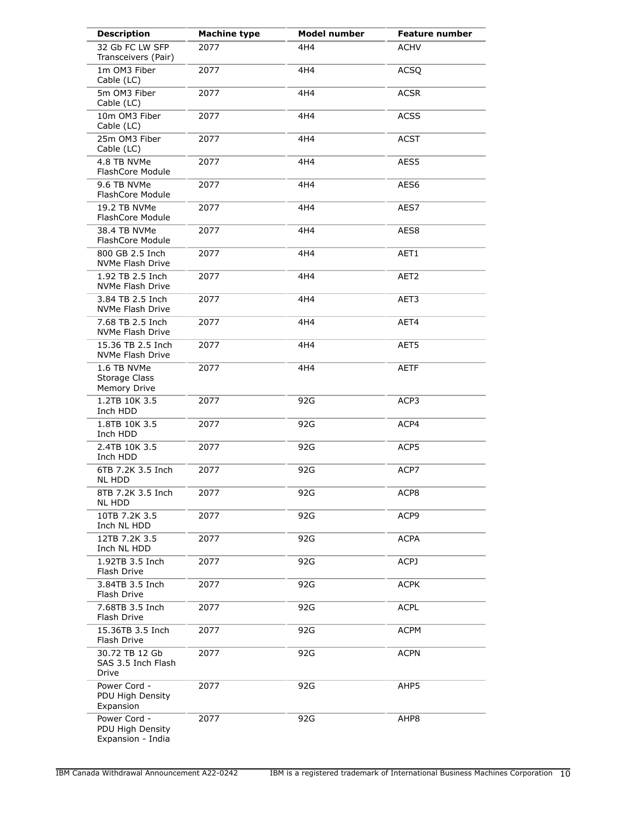| <b>Description</b>                                    | <b>Machine type</b> | <b>Model number</b> | <b>Feature number</b> |
|-------------------------------------------------------|---------------------|---------------------|-----------------------|
| 32 Gb FC LW SFP<br>Transceivers (Pair)                | 2077                | 4H4                 | <b>ACHV</b>           |
| 1m OM3 Fiber<br>Cable (LC)                            | 2077                | 4H4                 | <b>ACSQ</b>           |
| 5m OM3 Fiber<br>Cable (LC)                            | 2077                | 4H4                 | <b>ACSR</b>           |
| 10m OM3 Fiber<br>Cable (LC)                           | 2077                | 4H4                 | <b>ACSS</b>           |
| 25m OM3 Fiber<br>Cable (LC)                           | 2077                | 4H4                 | <b>ACST</b>           |
| 4.8 TB NVMe<br>FlashCore Module                       | 2077                | 4H4                 | AES5                  |
| 9.6 TB NVMe<br>FlashCore Module                       | 2077                | 4H4                 | AES6                  |
| 19.2 TB NVMe<br>FlashCore Module                      | 2077                | 4H4                 | AES7                  |
| 38.4 TB NVMe<br>FlashCore Module                      | 2077                | 4H4                 | AES8                  |
| 800 GB 2.5 Inch<br>NVMe Flash Drive                   | 2077                | 4H4                 | AET1                  |
| 1.92 TB 2.5 Inch<br>NVMe Flash Drive                  | 2077                | 4H4                 | AET2                  |
| 3.84 TB 2.5 Inch<br>NVMe Flash Drive                  | 2077                | 4H4                 | AET3                  |
| 7.68 TB 2.5 Inch<br>NVMe Flash Drive                  | 2077                | 4H4                 | AET4                  |
| 15.36 TB 2.5 Inch<br><b>NVMe Flash Drive</b>          | 2077                | 4H4                 | AET5                  |
| 1.6 TB NVMe<br>Storage Class<br>Memory Drive          | 2077                | 4H4                 | <b>AETF</b>           |
| 1.2TB 10K 3.5<br>Inch HDD                             | 2077                | 92G                 | ACP3                  |
| 1.8TB 10K 3.5<br>Inch HDD                             | 2077                | 92G                 | ACP4                  |
| 2.4TB 10K 3.5<br>Inch HDD                             | 2077                | 92G                 | ACP5                  |
| 6TB 7.2K 3.5 Inch<br><b>NL HDD</b>                    | 2077                | 92G                 | ACP7                  |
| 8TB 7.2K 3.5 Inch<br><b>NL HDD</b>                    | 2077                | 92G                 | ACP8                  |
| 10TB 7.2K 3.5<br>Inch NL HDD                          | 2077                | 92G                 | ACP9                  |
| 12TB 7.2K 3.5<br>Inch NL HDD                          | 2077                | 92G                 | <b>ACPA</b>           |
| 1.92TB 3.5 Inch<br>Flash Drive                        | 2077                | 92G                 | ACPJ                  |
| 3.84TB 3.5 Inch<br>Flash Drive                        | 2077                | 92G                 | <b>ACPK</b>           |
| 7.68TB 3.5 Inch<br>Flash Drive                        | 2077                | 92G                 | <b>ACPL</b>           |
| 15.36TB 3.5 Inch<br>Flash Drive                       | 2077                | 92G                 | ACPM                  |
| 30.72 TB 12 Gb<br>SAS 3.5 Inch Flash<br>Drive         | 2077                | 92G                 | <b>ACPN</b>           |
| Power Cord -<br>PDU High Density<br>Expansion         | 2077                | 92G                 | AHP5                  |
| Power Cord -<br>PDU High Density<br>Expansion - India | 2077                | 92G                 | AHP8                  |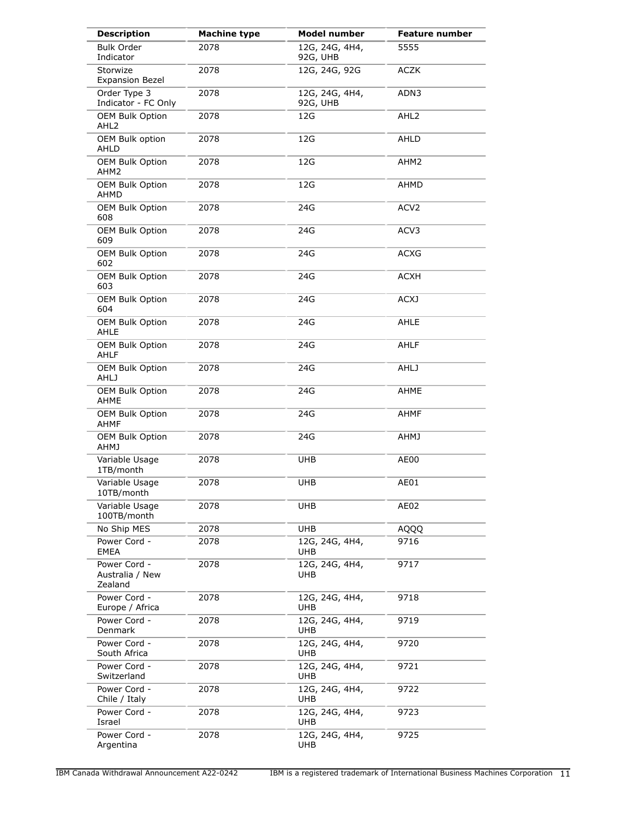| <b>Description</b>                         | <b>Machine type</b> | <b>Model number</b>        | <b>Feature number</b> |
|--------------------------------------------|---------------------|----------------------------|-----------------------|
| <b>Bulk Order</b><br>Indicator             | 2078                | 12G, 24G, 4H4,<br>92G, UHB | 5555                  |
| Storwize<br><b>Expansion Bezel</b>         | 2078                | 12G, 24G, 92G              | <b>ACZK</b>           |
| Order Type 3<br>Indicator - FC Only        | 2078                | 12G, 24G, 4H4,<br>92G, UHB | ADN3                  |
| <b>OEM Bulk Option</b><br>AHL <sub>2</sub> | 2078                | 12G                        | AHL <sub>2</sub>      |
| OEM Bulk option<br>AHLD                    | 2078                | 12G                        | AHLD                  |
| <b>OEM Bulk Option</b><br>AHM2             | 2078                | 12G                        | AHM2                  |
| OEM Bulk Option<br>AHMD                    | 2078                | 12G                        | AHMD                  |
| OEM Bulk Option<br>608                     | 2078                | 24G                        | ACV <sub>2</sub>      |
| OEM Bulk Option<br>609                     | 2078                | 24G                        | ACV3                  |
| <b>OEM Bulk Option</b><br>602              | 2078                | 24G                        | ACXG                  |
| <b>OEM Bulk Option</b><br>603              | 2078                | 24G                        | <b>ACXH</b>           |
| <b>OEM Bulk Option</b><br>604              | 2078                | 24G                        | <b>ACXJ</b>           |
| <b>OEM Bulk Option</b><br>AHLE             | 2078                | 24G                        | AHLE                  |
| <b>OEM Bulk Option</b><br><b>AHLF</b>      | 2078                | 24G                        | AHLF                  |
| OEM Bulk Option<br><b>AHLJ</b>             | 2078                | 24G                        | <b>AHLJ</b>           |
| OEM Bulk Option<br>AHME                    | 2078                | 24G                        | AHME                  |
| <b>OEM Bulk Option</b><br><b>AHMF</b>      | 2078                | 24G                        | <b>AHMF</b>           |
| OEM Bulk Option<br><b>AHMJ</b>             | 2078                | 24G                        | <b>AHMJ</b>           |
| Variable Usage<br>1TB/month                | 2078                | <b>UHB</b>                 | AE00                  |
| Variable Usage<br>101B/month               | 2078                | <b>UHB</b>                 | AE01                  |
| Variable Usage<br>100TB/month              | 2078                | <b>UHB</b>                 | AE02                  |
| No Ship MES                                | 2078                | <b>UHB</b>                 | AQQQ                  |
| Power Cord -<br><b>EMEA</b>                | 2078                | 12G, 24G, 4H4,<br>UHB      | 9716                  |
| Power Cord -<br>Australia / New<br>Zealand | 2078                | 12G, 24G, 4H4,<br>UHB      | 9717                  |
| Power Cord -<br>Europe / Africa            | 2078                | 12G, 24G, 4H4,<br>UHB      | 9718                  |
| Power Cord -<br>Denmark                    | 2078                | 12G, 24G, 4H4,<br>UHB      | 9719                  |
| Power Cord -<br>South Africa               | 2078                | 12G, 24G, 4H4,<br>UHB      | 9720                  |
| Power Cord -<br>Switzerland                | 2078                | 12G, 24G, 4H4,<br>UHB      | 9721                  |
| Power Cord -<br>Chile / Italy              | 2078                | 12G, 24G, 4H4,<br>UHB      | 9722                  |
| Power Cord -<br>Israel                     | 2078                | 12G, 24G, 4H4,<br>UHB      | 9723                  |
| Power Cord -<br>Argentina                  | 2078                | 12G, 24G, 4H4,<br>UHB      | 9725                  |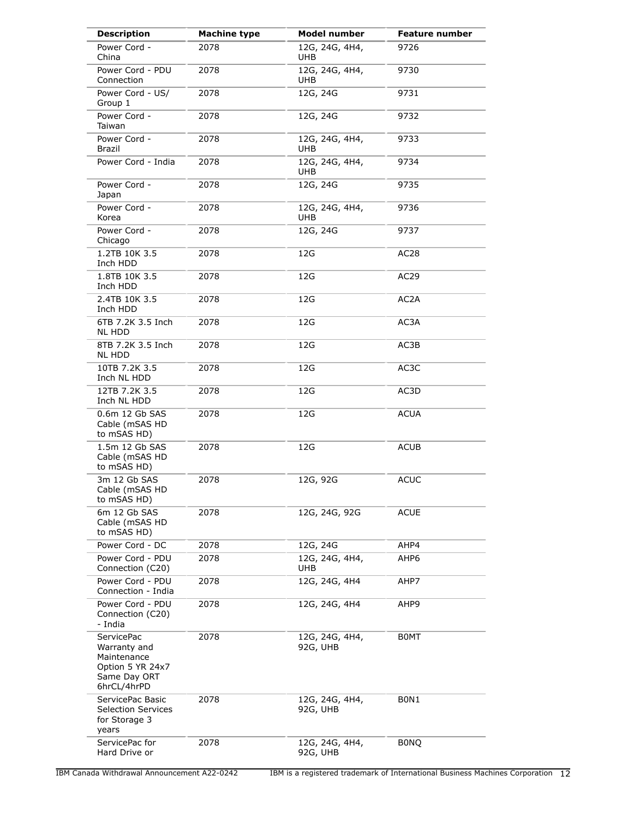| <b>Description</b>                                                                                  | <b>Machine type</b> | <b>Model number</b>          | <b>Feature number</b> |
|-----------------------------------------------------------------------------------------------------|---------------------|------------------------------|-----------------------|
| Power Cord -<br>China                                                                               | 2078                | 12G, 24G, 4H4,<br>UHB.       | 9726                  |
| Power Cord - PDU<br>Connection                                                                      | 2078                | 12G, 24G, 4H4,<br>UHB        | 9730                  |
| Power Cord - US/<br>Group 1                                                                         | 2078                | 12G, 24G                     | 9731                  |
| Power Cord -<br>Taiwan                                                                              | 2078                | 12G, 24G                     | 9732                  |
| Power Cord -<br>Brazil                                                                              | 2078                | 12G, 24G, 4H4,<br>UHB.       | 9733                  |
| Power Cord - India                                                                                  | 2078                | 12G, 24G, 4H4,<br>UHB.       | 9734                  |
| Power Cord -<br>Japan                                                                               | 2078                | 12G, 24G                     | 9735                  |
| Power Cord -<br>Korea                                                                               | 2078                | 12G, 24G, 4H4,<br><b>UHB</b> | 9736                  |
| Power Cord -<br>Chicago                                                                             | 2078                | 12G, 24G                     | 9737                  |
| 1.2TB 10K 3.5<br>Inch HDD                                                                           | 2078                | 12G                          | AC <sub>28</sub>      |
| 1.8TB 10K 3.5<br>Inch HDD                                                                           | 2078                | 12G                          | AC29                  |
| 2.4TB 10K 3.5<br>Inch HDD                                                                           | 2078                | 12G                          | AC2A                  |
| 6TB 7.2K 3.5 Inch<br>NL HDD                                                                         | 2078                | 12G                          | AC3A                  |
| 8TB 7.2K 3.5 Inch<br>NL HDD                                                                         | 2078                | 12G                          | AC3B                  |
| 10TB 7.2K 3.5<br>Inch NL HDD                                                                        | 2078                | 12G                          | AC3C                  |
| 12TB 7.2K 3.5<br>Inch NL HDD                                                                        | 2078                | 12G                          | AC3D                  |
| 0.6m 12 Gb SAS<br>Cable (mSAS HD<br>to mSAS HD)                                                     | 2078                | 12G                          | <b>ACUA</b>           |
| 1.5m 12 Gb SAS<br>Cable (mSAS HD<br>to mSAS HD)                                                     | 2078                | 12G                          | <b>ACUB</b>           |
| 3m 12 Gb SAS<br>Cable (mSAS HD<br>to mSAS HD)                                                       | 2078                | 12G, 92G                     | <b>ACUC</b>           |
| 6m 12 Gb SAS<br>Cable (mSAS HD<br>to mSAS HD)                                                       | 2078                | 12G, 24G, 92G                | <b>ACUE</b>           |
| Power Cord - DC                                                                                     | 2078                | 12G, 24G                     | AHP4                  |
| Power Cord - PDU<br>Connection (C20)                                                                | 2078                | 12G, 24G, 4H4,<br>UHB        | AHP6                  |
| Power Cord - PDU<br>Connection - India                                                              | 2078                | 12G, 24G, 4H4                | AHP7                  |
| Power Cord - PDU<br>Connection (C20)<br>- India                                                     | 2078                | 12G, 24G, 4H4                | AHP9                  |
| <b>ServicePac</b><br>Warranty and<br>Maintenance<br>Option 5 YR 24x7<br>Same Day ORT<br>6hrCL/4hrPD | 2078                | 12G, 24G, 4H4,<br>92G, UHB   | <b>BOMT</b>           |
| ServicePac Basic<br><b>Selection Services</b><br>for Storage 3<br>years                             | 2078                | 12G, 24G, 4H4,<br>92G, UHB   | BON1                  |
| ServicePac for<br>Hard Drive or                                                                     | 2078                | 12G, 24G, 4H4,<br>92G, UHB   | <b>BONQ</b>           |

IBM Canada Withdrawal Announcement A22-0242 IBM is a registered trademark of International Business Machines Corporation 12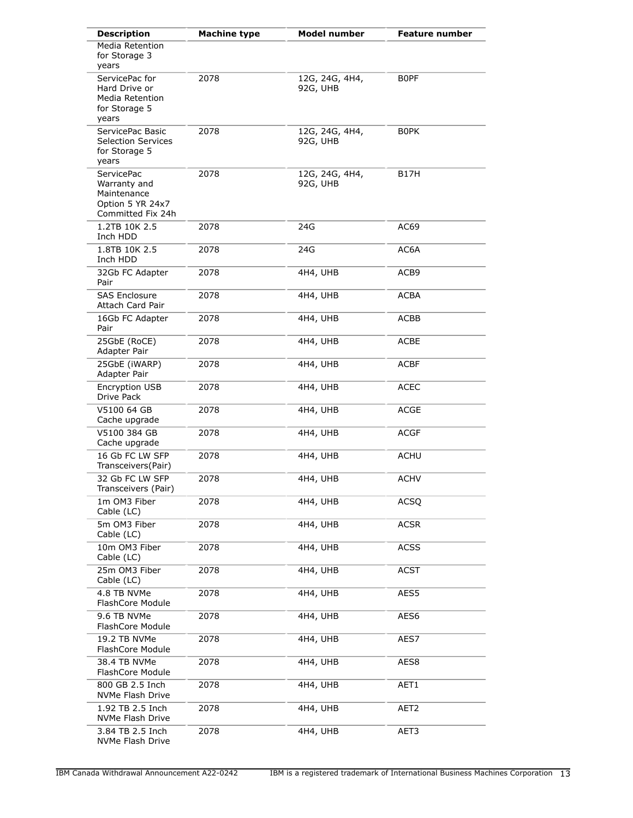| <b>Description</b>                                                                        | <b>Machine type</b> | <b>Model number</b>        | <b>Feature number</b> |
|-------------------------------------------------------------------------------------------|---------------------|----------------------------|-----------------------|
| <b>Media Retention</b><br>for Storage 3<br>years                                          |                     |                            |                       |
| ServicePac for<br>Hard Drive or<br><b>Media Retention</b><br>for Storage 5<br>years       | 2078                | 12G, 24G, 4H4,<br>92G, UHB | <b>BOPF</b>           |
| ServicePac Basic<br><b>Selection Services</b><br>for Storage 5<br>years                   | 2078                | 12G, 24G, 4H4,<br>92G, UHB | B0PK                  |
| <b>ServicePac</b><br>Warranty and<br>Maintenance<br>Option 5 YR 24x7<br>Committed Fix 24h | 2078                | 12G, 24G, 4H4,<br>92G, UHB | B17H                  |
| 1.2TB 10K 2.5<br>Inch HDD                                                                 | 2078                | 24G                        | AC69                  |
| 1.8TB 10K 2.5<br>Inch HDD                                                                 | 2078                | 24G                        | AC6A                  |
| 32Gb FC Adapter<br>Pair                                                                   | 2078                | 4H4, UHB                   | ACB9                  |
| <b>SAS Enclosure</b><br>Attach Card Pair                                                  | 2078                | 4H4, UHB                   | ACBA                  |
| 16Gb FC Adapter<br>Pair                                                                   | 2078                | 4H4, UHB                   | ACBB                  |
| 25GbE (RoCE)<br>Adapter Pair                                                              | 2078                | 4H4, UHB                   | ACBE                  |
| 25GbE (iWARP)<br>Adapter Pair                                                             | 2078                | 4H4, UHB                   | ACBF                  |
| Encryption USB<br>Drive Pack                                                              | 2078                | 4H4, UHB                   | ACEC                  |
| V5100 64 GB<br>Cache upgrade                                                              | 2078                | 4H4, UHB                   | <b>ACGE</b>           |
| V5100 384 GB<br>Cache upgrade                                                             | 2078                | 4H4, UHB                   | <b>ACGF</b>           |
| 16 Gb FC LW SFP<br>Transceivers(Pair)                                                     | 2078                | 4H4, UHB                   | ACHU                  |
| 32 Gb FC LW SFP<br>Transceivers (Pair)                                                    | 2078                | 4H4, UHB                   | ACHV                  |
| 1m OM3 Fiber<br>Cable (LC)                                                                | 2078                | 4H4, UHB                   | <b>ACSQ</b>           |
| 5m OM3 Fiber<br>Cable (LC)                                                                | 2078                | 4H4, UHB                   | <b>ACSR</b>           |
| 10m OM3 Fiber<br>Cable (LC)                                                               | 2078                | 4H4, UHB                   | <b>ACSS</b>           |
| 25m OM3 Fiber<br>Cable (LC)                                                               | 2078                | 4H4, UHB                   | <b>ACST</b>           |
| 4.8 TB NVMe<br>FlashCore Module                                                           | 2078                | 4H4, UHB                   | AES5                  |
| 9.6 TB NVMe<br>FlashCore Module                                                           | 2078                | 4H4, UHB                   | AES <sub>6</sub>      |
| 19.2 TB NVMe<br>FlashCore Module                                                          | 2078                | 4H4, UHB                   | AES7                  |
| 38.4 TB NVMe<br>FlashCore Module                                                          | 2078                | 4H4, UHB                   | AES8                  |
| 800 GB 2.5 Inch<br>NVMe Flash Drive                                                       | 2078                | 4H4, UHB                   | AET1                  |
| 1.92 TB 2.5 Inch<br>NVMe Flash Drive                                                      | 2078                | 4H4, UHB                   | AET <sub>2</sub>      |
| 3.84 TB 2.5 Inch<br>NVMe Flash Drive                                                      | 2078                | 4H4, UHB                   | AET3                  |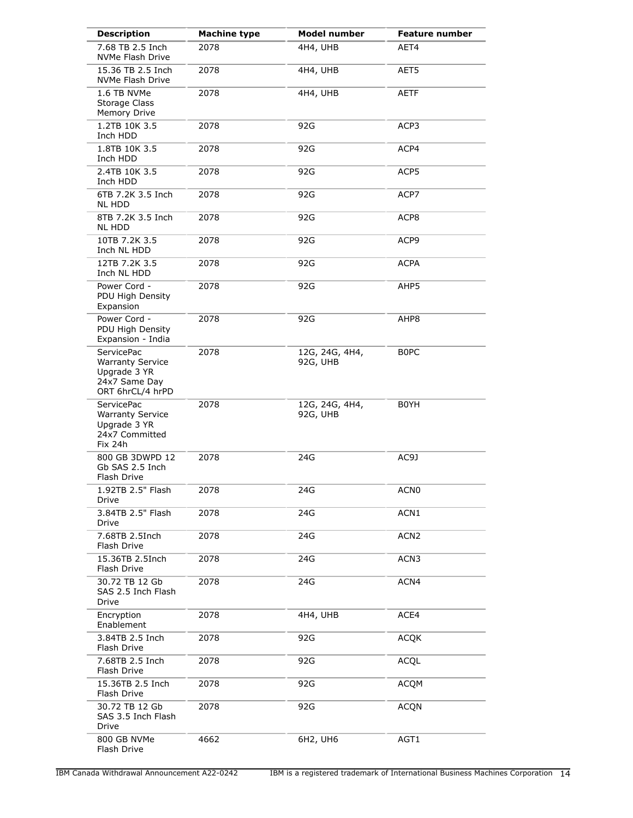| <b>Description</b>                                                                                | <b>Machine type</b> | <b>Model number</b>        | <b>Feature number</b> |
|---------------------------------------------------------------------------------------------------|---------------------|----------------------------|-----------------------|
| 7.68 TB 2.5 Inch<br>NVMe Flash Drive                                                              | 2078                | 4H4, UHB                   | AET4                  |
| 15.36 TB 2.5 Inch<br>NVMe Flash Drive                                                             | 2078                | 4H4, UHB                   | AET5                  |
| 1.6 TB NVMe<br>Storage Class<br>Memory Drive                                                      | 2078                | 4H4, UHB                   | AETF                  |
| 1.2TB 10K 3.5<br>Inch HDD                                                                         | 2078                | 92G                        | ACP3                  |
| 1.8TB 10K 3.5<br>Inch HDD                                                                         | 2078                | 92G                        | ACP4                  |
| 2.4TB 10K 3.5<br>Inch HDD                                                                         | 2078                | 92G                        | ACP5                  |
| 6TB 7.2K 3.5 Inch<br><b>NL HDD</b>                                                                | 2078                | 92G                        | ACP7                  |
| 8TB 7.2K 3.5 Inch<br><b>NL HDD</b>                                                                | 2078                | 92G                        | ACP8                  |
| 10TB 7.2K 3.5<br>Inch NL HDD                                                                      | 2078                | 92G                        | ACP9                  |
| 12TB 7.2K 3.5<br>Inch NL HDD                                                                      | 2078                | 92G                        | <b>ACPA</b>           |
| Power Cord -<br>PDU High Density<br>Expansion                                                     | 2078                | 92G                        | AHP5                  |
| Power Cord -<br>PDU High Density<br>Expansion - India                                             | 2078                | 92G                        | AHP8                  |
| <b>ServicePac</b><br><b>Warranty Service</b><br>Upgrade 3 YR<br>24x7 Same Day<br>ORT 6hrCL/4 hrPD | 2078                | 12G, 24G, 4H4,<br>92G, UHB | B0PC                  |
| <b>ServicePac</b><br><b>Warranty Service</b><br>Upgrade 3 YR<br>24x7 Committed<br>Fix 24h         | 2078                | 12G, 24G, 4H4,<br>92G, UHB | B0YH                  |
| 800 GB 3DWPD 12<br>Gb SAS 2.5 Inch<br>Flash Drive                                                 | 2078                | 24G                        | AC9J                  |
| 1.92TB 2.5" Flash<br>Drive                                                                        | 2078                | 24G                        | ACN <sub>0</sub>      |
| 3.84TB 2.5" Flash<br>Drive                                                                        | 2078                | 24G                        | ACN1                  |
| 7.68TB 2.5Inch<br>Flash Drive                                                                     | 2078                | 24G                        | ACN <sub>2</sub>      |
| 15.36TB 2.5Inch<br>Flash Drive                                                                    | 2078                | 24G                        | ACN <sub>3</sub>      |
| 30.72 TB 12 Gb<br>SAS 2.5 Inch Flash<br>Drive                                                     | 2078                | 24G                        | ACN4                  |
| Encryption<br>Enablement                                                                          | 2078                | 4H4, UHB                   | ACE4                  |
| 3.84TB 2.5 Inch<br>Flash Drive                                                                    | 2078                | 92G                        | <b>ACQK</b>           |
| 7.68TB 2.5 Inch<br>Flash Drive                                                                    | 2078                | 92G                        | <b>ACQL</b>           |
| 15.36TB 2.5 Inch<br>Flash Drive                                                                   | 2078                | 92G                        | <b>ACQM</b>           |
| 30.72 TB 12 Gb<br>SAS 3.5 Inch Flash<br>Drive                                                     | 2078                | 92G                        | <b>ACQN</b>           |
| 800 GB NVMe<br>Flash Drive                                                                        | 4662                | 6H2, UH6                   | AGT1                  |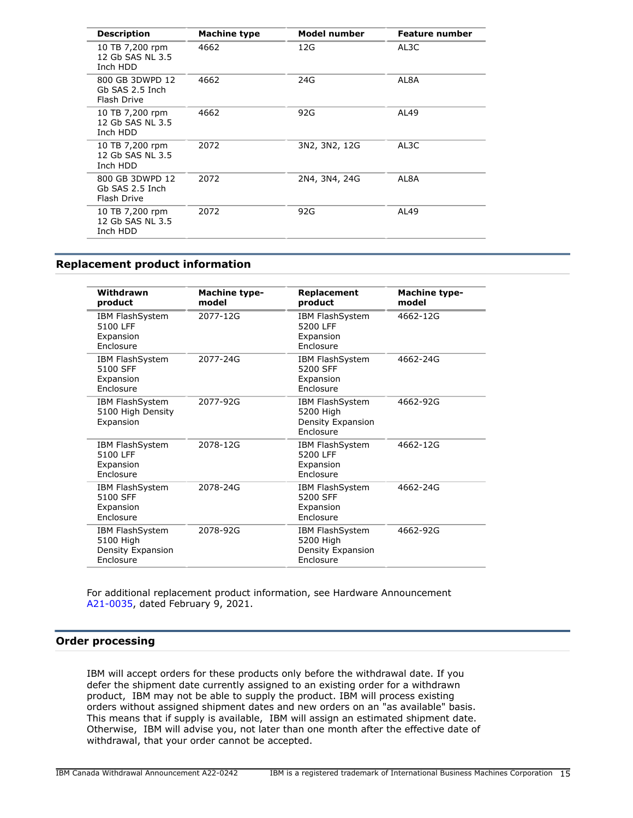| <b>Description</b>                                | <b>Machine type</b> | Model number  | <b>Feature number</b> |
|---------------------------------------------------|---------------------|---------------|-----------------------|
| 10 TB 7,200 rpm<br>12 Gb SAS NL 3.5<br>Inch HDD   | 4662                | 12G           | AL3C                  |
| 800 GB 3DWPD 12<br>Gb SAS 2.5 Inch<br>Flash Drive | 4662                | 24G           | AL8A                  |
| 10 TB 7,200 rpm<br>12 Gb SAS NL 3.5<br>Inch HDD   | 4662                | 92G           | AL49                  |
| 10 TB 7,200 rpm<br>12 Gb SAS NL 3.5<br>Inch HDD   | 2072                | 3N2, 3N2, 12G | AL3C                  |
| 800 GB 3DWPD 12<br>Gb SAS 2.5 Inch<br>Flash Drive | 2072                | 2N4, 3N4, 24G | AL8A                  |
| 10 TB 7,200 rpm<br>12 Gb SAS NL 3.5<br>Inch HDD   | 2072                | 92G           | AL49                  |
|                                                   |                     |               |                       |

## <span id="page-14-0"></span>**Replacement product information**

| Withdrawn<br>product                                           | <b>Machine type-</b><br>model | Replacement<br>product                                                       | <b>Machine type-</b><br>model |
|----------------------------------------------------------------|-------------------------------|------------------------------------------------------------------------------|-------------------------------|
| <b>IBM FlashSystem</b><br>5100 LFF<br>Expansion<br>Enclosure   | 2077-12G                      | <b>IBM FlashSystem</b><br>5200 LFF<br>Expansion<br>Enclosure                 | 4662-12G                      |
| IBM FlashSystem<br>5100 SFF<br>Expansion<br>Enclosure          | 2077-24G                      | <b>IBM FlashSystem</b><br>5200 SFF<br>Expansion<br><b>Fnclosure</b>          | 4662-24G                      |
| <b>IBM FlashSystem</b><br>5100 High Density<br>Expansion       | 2077-92G                      | <b>IBM FlashSystem</b><br>5200 High<br>Density Expansion<br><b>Fnclosure</b> | 4662-92G                      |
| <b>IBM FlashSystem</b><br>5100 LFF<br>Expansion<br>Enclosure   | 2078-12G                      | <b>IBM FlashSystem</b><br>5200 LFF<br>Expansion<br>Enclosure                 | 4662-12G                      |
| <b>IBM FlashSystem</b><br>5100 SFF<br>Expansion<br>Enclosure   | 2078-24G                      | <b>IBM FlashSystem</b><br>5200 SFF<br>Expansion<br>Enclosure                 | 4662-24G                      |
| IBM FlashSystem<br>5100 High<br>Density Expansion<br>Enclosure | 2078-92G                      | IBM FlashSystem<br>5200 High<br>Density Expansion<br>Enclosure               | 4662-92G                      |

For additional replacement product information, see Hardware Announcement [A21-0035,](http://www.ibm.com/common/ssi/cgi-bin/ssialias?infotype=an&subtype=ca&appname=gpateam&supplier=649&letternum=ENUSA21-0035) dated February 9, 2021.

## **Order processing**

IBM will accept orders for these products only before the withdrawal date. If you defer the shipment date currently assigned to an existing order for a withdrawn product, IBM may not be able to supply the product. IBM will process existing orders without assigned shipment dates and new orders on an "as available" basis. This means that if supply is available, IBM will assign an estimated shipment date. Otherwise, IBM will advise you, not later than one month after the effective date of withdrawal, that your order cannot be accepted.